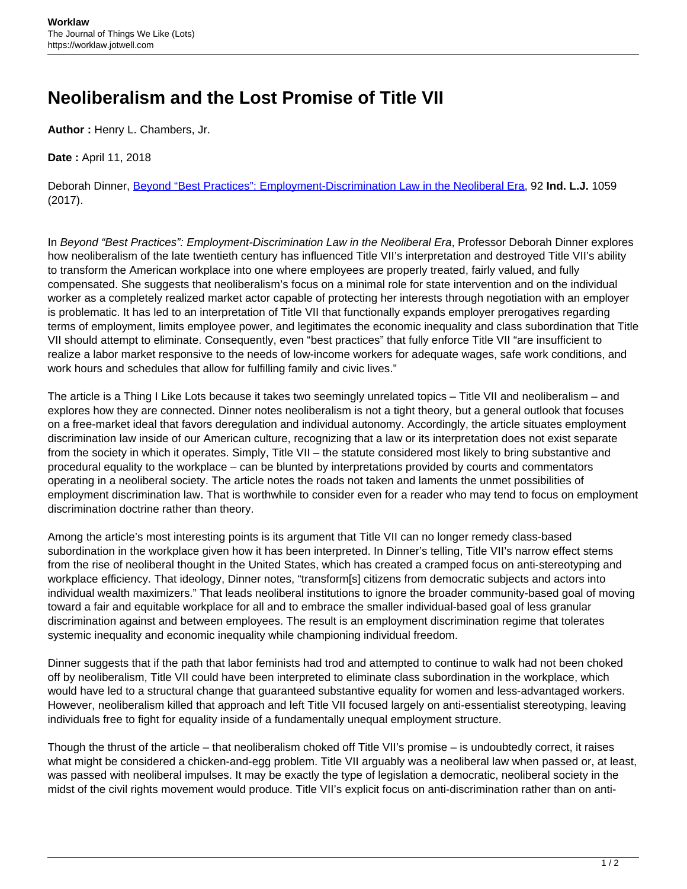## **Neoliberalism and the Lost Promise of Title VII**

**Author :** Henry L. Chambers, Jr.

**Date :** April 11, 2018

Deborah Dinner, [Beyond "Best Practices": Employment-Discrimination Law in the Neoliberal Era,](http://www.repository.law.indiana.edu/cgi/viewcontent.cgi?article=11254&context=ilj) 92 **Ind. L.J.** 1059 (2017).

In Beyond "Best Practices": Employment-Discrimination Law in the Neoliberal Era, Professor Deborah Dinner explores how neoliberalism of the late twentieth century has influenced Title VII's interpretation and destroyed Title VII's ability to transform the American workplace into one where employees are properly treated, fairly valued, and fully compensated. She suggests that neoliberalism's focus on a minimal role for state intervention and on the individual worker as a completely realized market actor capable of protecting her interests through negotiation with an employer is problematic. It has led to an interpretation of Title VII that functionally expands employer prerogatives regarding terms of employment, limits employee power, and legitimates the economic inequality and class subordination that Title VII should attempt to eliminate. Consequently, even "best practices" that fully enforce Title VII "are insufficient to realize a labor market responsive to the needs of low-income workers for adequate wages, safe work conditions, and work hours and schedules that allow for fulfilling family and civic lives."

The article is a Thing I Like Lots because it takes two seemingly unrelated topics – Title VII and neoliberalism – and explores how they are connected. Dinner notes neoliberalism is not a tight theory, but a general outlook that focuses on a free-market ideal that favors deregulation and individual autonomy. Accordingly, the article situates employment discrimination law inside of our American culture, recognizing that a law or its interpretation does not exist separate from the society in which it operates. Simply, Title VII – the statute considered most likely to bring substantive and procedural equality to the workplace – can be blunted by interpretations provided by courts and commentators operating in a neoliberal society. The article notes the roads not taken and laments the unmet possibilities of employment discrimination law. That is worthwhile to consider even for a reader who may tend to focus on employment discrimination doctrine rather than theory.

Among the article's most interesting points is its argument that Title VII can no longer remedy class-based subordination in the workplace given how it has been interpreted. In Dinner's telling, Title VII's narrow effect stems from the rise of neoliberal thought in the United States, which has created a cramped focus on anti-stereotyping and workplace efficiency. That ideology, Dinner notes, "transform[s] citizens from democratic subjects and actors into individual wealth maximizers." That leads neoliberal institutions to ignore the broader community-based goal of moving toward a fair and equitable workplace for all and to embrace the smaller individual-based goal of less granular discrimination against and between employees. The result is an employment discrimination regime that tolerates systemic inequality and economic inequality while championing individual freedom.

Dinner suggests that if the path that labor feminists had trod and attempted to continue to walk had not been choked off by neoliberalism, Title VII could have been interpreted to eliminate class subordination in the workplace, which would have led to a structural change that guaranteed substantive equality for women and less-advantaged workers. However, neoliberalism killed that approach and left Title VII focused largely on anti-essentialist stereotyping, leaving individuals free to fight for equality inside of a fundamentally unequal employment structure.

Though the thrust of the article – that neoliberalism choked off Title VII's promise – is undoubtedly correct, it raises what might be considered a chicken-and-egg problem. Title VII arguably was a neoliberal law when passed or, at least, was passed with neoliberal impulses. It may be exactly the type of legislation a democratic, neoliberal society in the midst of the civil rights movement would produce. Title VII's explicit focus on anti-discrimination rather than on anti